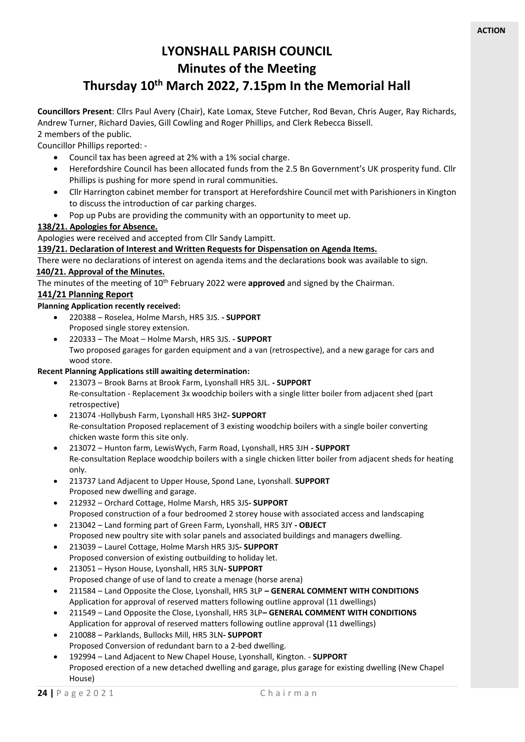# **LYONSHALL PARISH COUNCIL Minutes of the Meeting Thursday 10th March 2022, 7.15pm In the Memorial Hall**

**Councillors Present**: Cllrs Paul Avery (Chair), Kate Lomax, Steve Futcher, Rod Bevan, Chris Auger, Ray Richards, Andrew Turner, Richard Davies, Gill Cowling and Roger Phillips, and Clerk Rebecca Bissell. 2 members of the public.

Councillor Phillips reported: -

- Council tax has been agreed at 2% with a 1% social charge.
- Herefordshire Council has been allocated funds from the 2.5 Bn Government's UK prosperity fund. Cllr Phillips is pushing for more spend in rural communities.
- Cllr Harrington cabinet member for transport at Herefordshire Council met with Parishioners in Kington to discuss the introduction of car parking charges.
- Pop up Pubs are providing the community with an opportunity to meet up.

## **138/21. Apologies for Absence.**

Apologies were received and accepted from Cllr Sandy Lampitt.

## **139/21. Declaration of Interest and Written Requests for Dispensation on Agenda Items.**

There were no declarations of interest on agenda items and the declarations book was available to sign.

# **140/21. Approval of the Minutes.**

The minutes of the meeting of 10<sup>th</sup> February 2022 were **approved** and signed by the Chairman.

## **141/21 Planning Report**

## **Planning Application recently received:**

- 220388 Roselea, Holme Marsh, HR5 3JS. **- SUPPORT** Proposed single storey extension.
- 220333 The Moat Holme Marsh, HR5 3JS. **- SUPPORT** Two proposed garages for garden equipment and a van (retrospective), and a new garage for cars and wood store.

### **Recent Planning Applications still awaiting determination:**

- 213073 Brook Barns at Brook Farm, Lyonshall HR5 3JL. **- SUPPORT** Re-consultation - Replacement 3x woodchip boilers with a single litter boiler from adjacent shed (part retrospective)
- 213074 -Hollybush Farm, Lyonshall HR5 3HZ**- SUPPORT** Re-consultation Proposed replacement of 3 existing woodchip boilers with a single boiler converting chicken waste form this site only.
- 213072 Hunton farm, LewisWych, Farm Road, Lyonshall, HR5 3JH **- SUPPORT** Re-consultation Replace woodchip boilers with a single chicken litter boiler from adjacent sheds for heating only.
- 213737 Land Adjacent to Upper House, Spond Lane, Lyonshall. **SUPPORT** Proposed new dwelling and garage.
- 212932 Orchard Cottage, Holme Marsh, HR5 3JS**- SUPPORT** Proposed construction of a four bedroomed 2 storey house with associated access and landscaping
- 213042 Land forming part of Green Farm, Lyonshall, HR5 3JY **- OBJECT** Proposed new poultry site with solar panels and associated buildings and managers dwelling.
- 213039 Laurel Cottage, Holme Marsh HR5 3JS**- SUPPORT** Proposed conversion of existing outbuilding to holiday let.
- 213051 Hyson House, Lyonshall, HR5 3LN**- SUPPORT** Proposed change of use of land to create a menage (horse arena)
- 211584 Land Opposite the Close, Lyonshall, HR5 3LP **– GENERAL COMMENT WITH CONDITIONS** Application for approval of reserved matters following outline approval (11 dwellings)
- 211549 Land Opposite the Close, Lyonshall, HR5 3LP**– GENERAL COMMENT WITH CONDITIONS** Application for approval of reserved matters following outline approval (11 dwellings)
- 210088 Parklands, Bullocks Mill, HR5 3LN**- SUPPORT** Proposed Conversion of redundant barn to a 2-bed dwelling.
- 192994 Land Adjacent to New Chapel House, Lyonshall, Kington. **SUPPORT** Proposed erection of a new detached dwelling and garage, plus garage for existing dwelling (New Chapel House)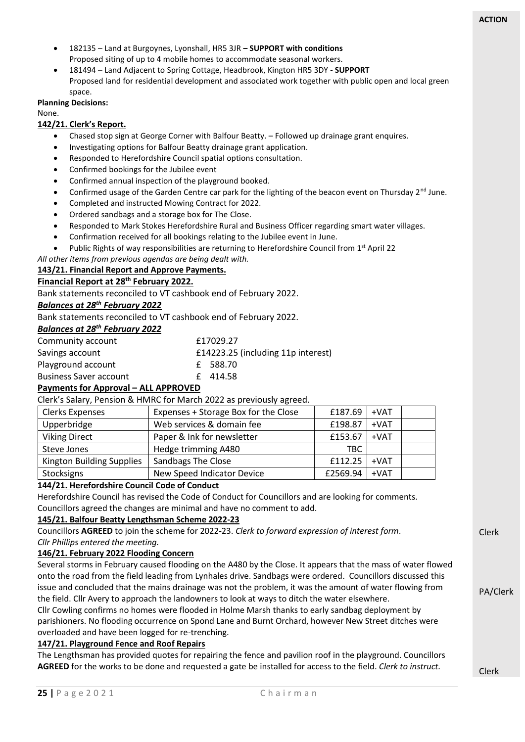- 182135 Land at Burgoynes, Lyonshall, HR5 3JR **– SUPPORT with conditions** Proposed siting of up to 4 mobile homes to accommodate seasonal workers.
- 181494 Land Adjacent to Spring Cottage, Headbrook, Kington HR5 3DY **- SUPPORT** Proposed land for residential development and associated work together with public open and local green space.

### **Planning Decisions:**

None.

## **142/21. Clerk's Report.**

- Chased stop sign at George Corner with Balfour Beatty. Followed up drainage grant enquires.
- Investigating options for Balfour Beatty drainage grant application.
- Responded to Herefordshire Council spatial options consultation.
- Confirmed bookings for the Jubilee event
- Confirmed annual inspection of the playground booked.
- Confirmed usage of the Garden Centre car park for the lighting of the beacon event on Thursday 2<sup>nd</sup> June.
- Completed and instructed Mowing Contract for 2022.
- Ordered sandbags and a storage box for The Close.
- Responded to Mark Stokes Herefordshire Rural and Business Officer regarding smart water villages.
- Confirmation received for all bookings relating to the Jubilee event in June.
- Public Rights of way responsibilities are returning to Herefordshire Council from 1<sup>st</sup> April 22

*All other items from previous agendas are being dealt with.* 

## **143/21. Financial Report and Approve Payments.**

# **Financial Report at 28th February 2022.**

Bank statements reconciled to VT cashbook end of February 2022.

# *Balances at 28th February 2022*

Bank statements reconciled to VT cashbook end of February 2022.

#### *Balances at 28th February 2022*

| $DU$ , $MU$ , $CU$ , $CU$ , $MU$ , $NU$ , $NU$ , $NU$ , $NU$ , $NU$ , $NU$ , $NU$ , $NU$ , $NU$ , $NU$ , $NU$ , $NU$ , $NU$ , $N$ |                                    |
|-----------------------------------------------------------------------------------------------------------------------------------|------------------------------------|
| Community account                                                                                                                 | £17029.27                          |
| Savings account                                                                                                                   | £14223.25 (including 11p interest) |
| Playground account                                                                                                                | £ 588.70                           |
| <b>Business Saver account</b>                                                                                                     | £414.58                            |
| <b>Decoracted from Automatical ALL ADDDOVED</b>                                                                                   |                                    |

## **Payments for Approval – ALL APPROVED**

Clerk's Salary, Pension & HMRC for March 2022 as previously agreed.

| <b>Clerks Expenses</b>    | Expenses + Storage Box for the Close | £187.69  | $+VAT$ |  |
|---------------------------|--------------------------------------|----------|--------|--|
| Upperbridge               | Web services & domain fee            | £198.87  | $+VAT$ |  |
| <b>Viking Direct</b>      | Paper & Ink for newsletter           | £153.67  | $+VAT$ |  |
| Steve Jones               | Hedge trimming A480                  | TBC.     |        |  |
| Kington Building Supplies | <b>Sandbags The Close</b>            | £112.25  | $+VAT$ |  |
| Stocksigns                | New Speed Indicator Device           | £2569.94 | $+VAT$ |  |

# **144/21. Herefordshire Council Code of Conduct**

Herefordshire Council has revised the Code of Conduct for Councillors and are looking for comments. Councillors agreed the changes are minimal and have no comment to add.

## **145/21. Balfour Beatty Lengthsman Scheme 2022-23**

Councillors **AGREED** to join the scheme for 2022-23. *Clerk to forward expression of interest form*. *Cllr Phillips entered the meeting.*

## **146/21. February 2022 Flooding Concern**

Several storms in February caused flooding on the A480 by the Close. It appears that the mass of water flowed onto the road from the field leading from Lynhales drive. Sandbags were ordered. Councillors discussed this issue and concluded that the mains drainage was not the problem, it was the amount of water flowing from the field. Cllr Avery to approach the landowners to look at ways to ditch the water elsewhere.

Cllr Cowling confirms no homes were flooded in Holme Marsh thanks to early sandbag deployment by parishioners. No flooding occurrence on Spond Lane and Burnt Orchard, however New Street ditches were overloaded and have been logged for re-trenching.

## **147/21. Playground Fence and Roof Repairs**

The Lengthsman has provided quotes for repairing the fence and pavilion roof in the playground. Councillors **AGREED** for the works to be done and requested a gate be installed for access to the field. *Clerk to instruct.*

Clerk

Clerk

PA/Clerk